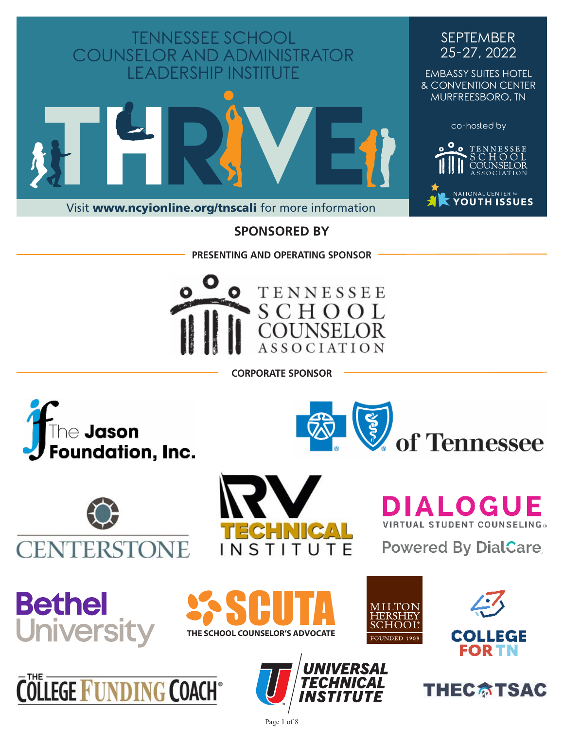

### **SPONSORED BY**

**PRESENTING AND OPERATING SPONSOR**



**CORPORATE SPONSOR**















**LOGUE VIRTUAL STUDENT COUNSELING:** 

of Tennessee

**Powered By DialCare** 







Page 1 of 8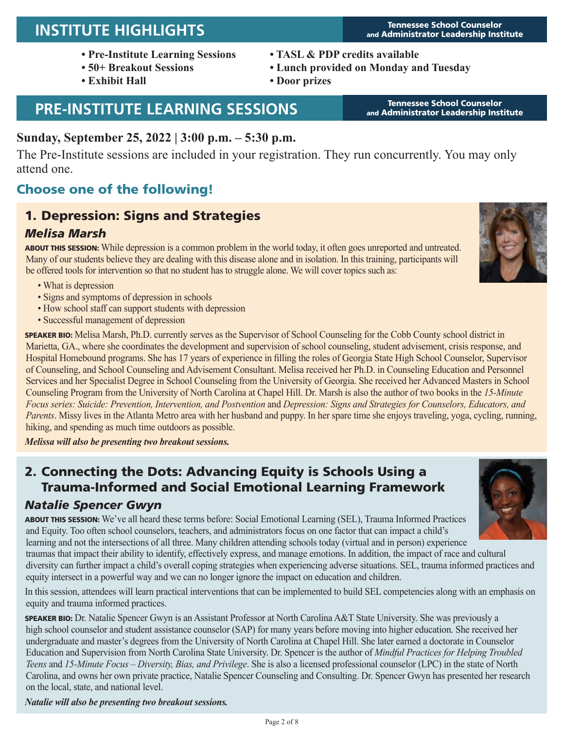# **INSTITUTE HIGHLIGHTS** Tennessee School Counselor

- **Pre-Institute Learning Sessions**
- **50+ Breakout Sessions**
- **Exhibit Hall**

# **PRE-INSTITUTE LEARNING SESSIONS** Tennessee School Counselor

### **Sunday, September 25, 2022 | 3:00 p.m. – 5:30 p.m.**

The Pre-Institute sessions are included in your registration. They run concurrently. You may only attend one.

# Choose one of the following!

# 1. Depression: Signs and Strategies

### *Melisa Marsh*

ABOUT THIS SESSION: While depression is a common problem in the world today, it often goes unreported and untreated. Many of our students believe they are dealing with this disease alone and in isolation. In this training, participants will be offered tools for intervention so that no student has to struggle alone. We will cover topics such as:

- What is depression
- Signs and symptoms of depression in schools
- How school staff can support students with depression
- Successful management of depression

SPEAKER BIO: Melisa Marsh, Ph.D. currently serves as the Supervisor of School Counseling for the Cobb County school district in Marietta, GA., where she coordinates the development and supervision of school counseling, student advisement, crisis response, and Hospital Homebound programs. She has 17 years of experience in filling the roles of Georgia State High School Counselor, Supervisor of Counseling, and School Counseling and Advisement Consultant. Melisa received her Ph.D. in Counseling Education and Personnel Services and her Specialist Degree in School Counseling from the University of Georgia. She received her Advanced Masters in School Counseling Program from the University of North Carolina at Chapel Hill. Dr. Marsh is also the author of two books in the *15-Minute Focus series: Suicide: Prevention, Intervention, and Postvention* and *Depression: Signs and Strategies for Counselors, Educators, and Parents*. Missy lives in the Atlanta Metro area with her husband and puppy. In her spare time she enjoys traveling, yoga, cycling, running, hiking, and spending as much time outdoors as possible.

*Melissa will also be presenting two breakout sessions.*

### 2. Connecting the Dots: Advancing Equity is Schools Using a Trauma-Informed and Social Emotional Learning Framework

equity intersect in a powerful way and we can no longer ignore the impact on education and children.

### *Natalie Spencer Gwyn*

ABOUT THIS SESSION: We've all heard these terms before: Social Emotional Learning (SEL), Trauma Informed Practices and Equity. Too often school counselors, teachers, and administrators focus on one factor that can impact a child's learning and not the intersections of all three. Many children attending schools today (virtual and in person) experience traumas that impact their ability to identify, effectively express, and manage emotions. In addition, the impact of race and cultural diversity can further impact a child's overall coping strategies when experiencing adverse situations. SEL, trauma informed practices and

In this session, attendees will learn practical interventions that can be implemented to build SEL competencies along with an emphasis on equity and trauma informed practices.

SPEAKER BIO: Dr. Natalie Spencer Gwyn is an Assistant Professor at North Carolina A&T State University. She was previously a high school counselor and student assistance counselor (SAP) for many years before moving into higher education. She received her undergraduate and master's degrees from the University of North Carolina at Chapel Hill. She later earned a doctorate in Counselor Education and Supervision from North Carolina State University. Dr. Spencer is the author of *Mindful Practices for Helping Troubled Teens* and *15-Minute Focus – Diversity, Bias, and Privilege*. She is also a licensed professional counselor (LPC) in the state of North Carolina, and owns her own private practice, Natalie Spencer Counseling and Consulting. Dr. Spencer Gwyn has presented her research on the local, state, and national level.

*Natalie will also be presenting two breakout sessions.*

**• TASL & PDP credits available**

- **Lunch provided on Monday and Tuesday**
- **Door prizes**

and Administrator Leadership Institute



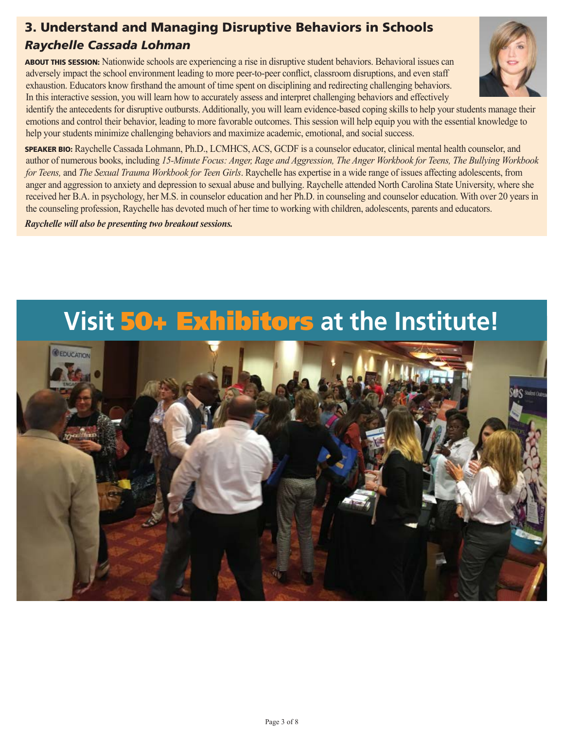## 3. Understand and Managing Disruptive Behaviors in Schools

# *Raychelle Cassada Lohman*

ABOUT THIS SESSION: Nationwide schools are experiencing a rise in disruptive student behaviors. Behavioral issues can adversely impact the school environment leading to more peer-to-peer conflict, classroom disruptions, and even staff exhaustion. Educators know firsthand the amount of time spent on disciplining and redirecting challenging behaviors. In this interactive session, you will learn how to accurately assess and interpret challenging behaviors and effectively

identify the antecedents for disruptive outbursts. Additionally, you will learn evidence-based coping skills to help your students manage their emotions and control their behavior, leading to more favorable outcomes. This session will help equip you with the essential knowledge to help your students minimize challenging behaviors and maximize academic, emotional, and social success.

SPEAKER BIO: Raychelle Cassada Lohmann, Ph.D., LCMHCS, ACS, GCDF is a counselor educator, clinical mental health counselor, and author of numerous books, including *15-Minute Focus: Anger, Rage and Aggression, The Anger Workbook for Teens, The Bullying Workbook for Teens,* and *The Sexual Trauma Workbook for Teen Girls*. Raychelle has expertise in a wide range of issues affecting adolescents, from anger and aggression to anxiety and depression to sexual abuse and bullying. Raychelle attended North Carolina State University, where she received her B.A. in psychology, her M.S. in counselor education and her Ph.D. in counseling and counselor education. With over 20 years in the counseling profession, Raychelle has devoted much of her time to working with children, adolescents, parents and educators.

*Raychelle will also be presenting two breakout sessions.*

# **Visit** 50+ Exhibitors **at the Institute!**



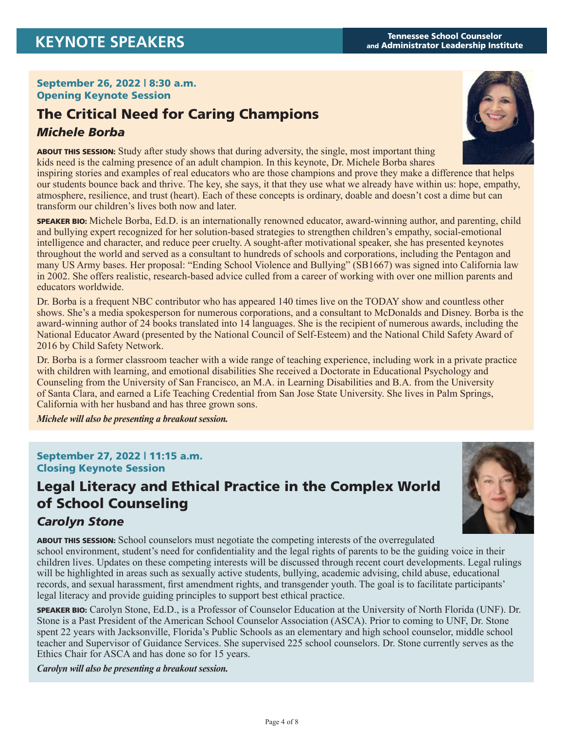#### September 26, 2022 | 8:30 a.m. Opening Keynote Session

# The Critical Need for Caring Champions *Michele Borba*



ABOUT THIS SESSION: Study after study shows that during adversity, the single, most important thing kids need is the calming presence of an adult champion. In this keynote, Dr. Michele Borba shares inspiring stories and examples of real educators who are those champions and prove they make a difference that helps our students bounce back and thrive. The key, she says, it that they use what we already have within us: hope, empathy, atmosphere, resilience, and trust (heart). Each of these concepts is ordinary, doable and doesn't cost a dime but can transform our children's lives both now and later.

SPEAKER BIO: Michele Borba, Ed.D. is an internationally renowned educator, award-winning author, and parenting, child and bullying expert recognized for her solution-based strategies to strengthen children's empathy, social-emotional intelligence and character, and reduce peer cruelty. A sought-after motivational speaker, she has presented keynotes throughout the world and served as a consultant to hundreds of schools and corporations, including the Pentagon and many US Army bases. Her proposal: "Ending School Violence and Bullying" (SB1667) was signed into California law in 2002. She offers realistic, research-based advice culled from a career of working with over one million parents and educators worldwide.

Dr. Borba is a frequent NBC contributor who has appeared 140 times live on the TODAY show and countless other shows. She's a media spokesperson for numerous corporations, and a consultant to McDonalds and Disney. Borba is the award-winning author of 24 books translated into 14 languages. She is the recipient of numerous awards, including the National Educator Award (presented by the National Council of Self-Esteem) and the National Child Safety Award of 2016 by Child Safety Network.

Dr. Borba is a former classroom teacher with a wide range of teaching experience, including work in a private practice with children with learning, and emotional disabilities She received a Doctorate in Educational Psychology and Counseling from the University of San Francisco, an M.A. in Learning Disabilities and B.A. from the University of Santa Clara, and earned a Life Teaching Credential from San Jose State University. She lives in Palm Springs, California with her husband and has three grown sons.

*Michele will also be presenting a breakout session.*

#### September 27, 2022 | 11:15 a.m. Closing Keynote Session

# Legal Literacy and Ethical Practice in the Complex World of School Counseling



### *Carolyn Stone*

ABOUT THIS SESSION: School counselors must negotiate the competing interests of the overregulated school environment, student's need for confidentiality and the legal rights of parents to be the guiding voice in their children lives. Updates on these competing interests will be discussed through recent court developments. Legal rulings will be highlighted in areas such as sexually active students, bullying, academic advising, child abuse, educational records, and sexual harassment, first amendment rights, and transgender youth. The goal is to facilitate participants' legal literacy and provide guiding principles to support best ethical practice.

SPEAKER BIO: Carolyn Stone, Ed.D., is a Professor of Counselor Education at the University of North Florida (UNF). Dr. Stone is a Past President of the American School Counselor Association (ASCA). Prior to coming to UNF, Dr. Stone spent 22 years with Jacksonville, Florida's Public Schools as an elementary and high school counselor, middle school teacher and Supervisor of Guidance Services. She supervised 225 school counselors. Dr. Stone currently serves as the Ethics Chair for ASCA and has done so for 15 years.

*Carolyn will also be presenting a breakout session.*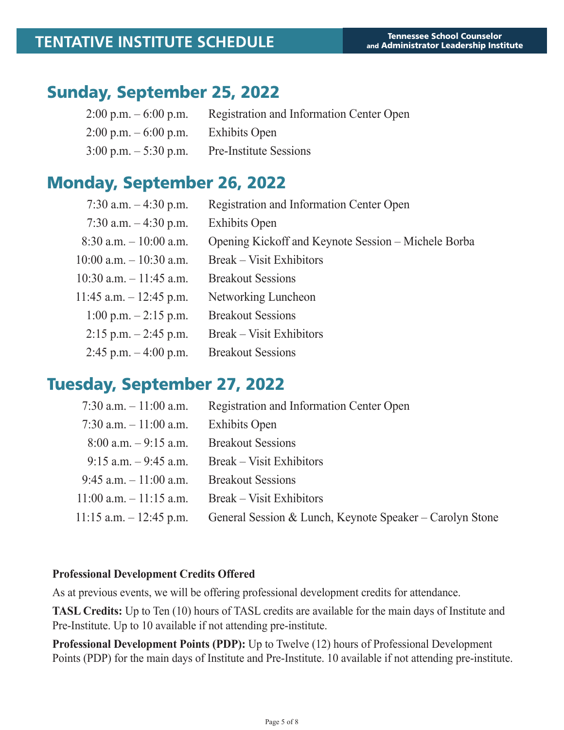# Sunday, September 25, 2022

| $2:00 \text{ p.m.} - 6:00 \text{ p.m.}$ | Registration and Information Center Open |
|-----------------------------------------|------------------------------------------|
| $2:00 \text{ p.m.} - 6:00 \text{ p.m.}$ | Exhibits Open                            |
| $3:00 \text{ p.m.} - 5:30 \text{ p.m.}$ | <b>Pre-Institute Sessions</b>            |

# Monday, September 26, 2022

| 7:30 a.m. $-4:30$ p.m.     | Registration and Information Center Open            |
|----------------------------|-----------------------------------------------------|
| 7:30 a.m. $-4:30$ p.m.     | <b>Exhibits Open</b>                                |
| $8:30$ a.m. $-10:00$ a.m.  | Opening Kickoff and Keynote Session – Michele Borba |
| $10:00$ a.m. $-10:30$ a.m. | <b>Break</b> – Visit Exhibitors                     |
| $10:30$ a.m. $-11:45$ a.m. | <b>Breakout Sessions</b>                            |
| 11:45 a.m. $-$ 12:45 p.m.  | Networking Luncheon                                 |
| $1:00$ p.m. $-2:15$ p.m.   | <b>Breakout Sessions</b>                            |
| $2:15$ p.m. $-2:45$ p.m.   | <b>Break</b> – Visit Exhibitors                     |
| $2:45$ p.m. $-4:00$ p.m.   | <b>Breakout Sessions</b>                            |

# Tuesday, September 27, 2022

| 7:30 a.m. $-11:00$ a.m.    | Registration and Information Center Open                 |
|----------------------------|----------------------------------------------------------|
| 7:30 a.m. $-11:00$ a.m.    | <b>Exhibits Open</b>                                     |
| $8:00$ a.m. $-9:15$ a.m.   | <b>Breakout Sessions</b>                                 |
| $9:15$ a.m. $-9:45$ a.m.   | Break – Visit Exhibitors                                 |
| $9:45$ a.m. $-11:00$ a.m.  | <b>Breakout Sessions</b>                                 |
| $11:00$ a.m. $-11:15$ a.m. | Break – Visit Exhibitors                                 |
| $11:15$ a.m. $-12:45$ p.m. | General Session & Lunch, Keynote Speaker – Carolyn Stone |

#### **Professional Development Credits Offered**

As at previous events, we will be offering professional development credits for attendance.

**TASL Credits:** Up to Ten (10) hours of TASL credits are available for the main days of Institute and Pre-Institute. Up to 10 available if not attending pre-institute.

**Professional Development Points (PDP):** Up to Twelve (12) hours of Professional Development Points (PDP) for the main days of Institute and Pre-Institute. 10 available if not attending pre-institute.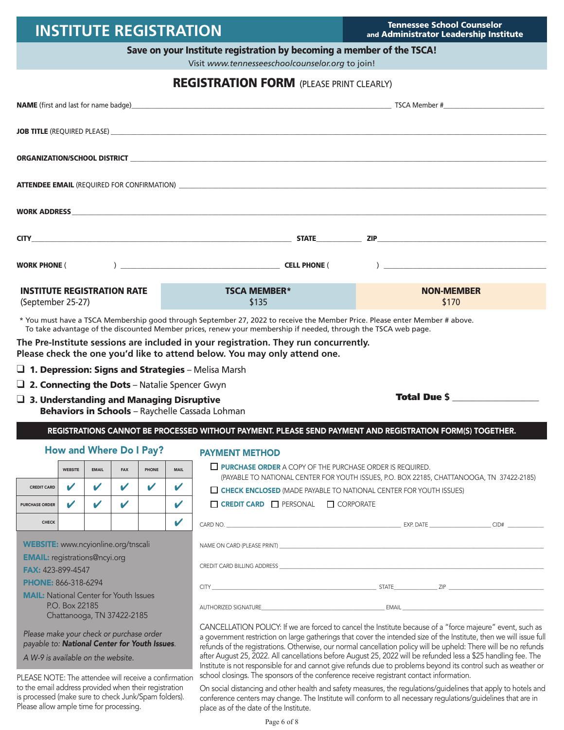# **INSTITUTE REGISTRATION** Tennessee School Counselor

and Administrator Leadership Institute

Total Due \$ **\_\_\_\_\_\_\_\_\_\_\_\_\_\_\_\_\_\_\_\_**

#### Save on your Institute registration by becoming a member of the TSCA!

Visit *www.tennesseeschoolcounselor.org* to join!

#### **REGISTRATION FORM** (PLEASE PRINT CLEARLY)

|                                                         | ORGANIZATION/SCHOOL DISTRICT NAMES AND THE RESIDENCE OF A SERIES AND THE RESIDENCE OF A SERIES OF A SERIES OF A SERIES OF A SERIES OF A SERIES OF A SERIES OF A SERIES OF A SERIES OF A SERIES OF A SERIES OF A SERIES OF A SE |                            |  |
|---------------------------------------------------------|--------------------------------------------------------------------------------------------------------------------------------------------------------------------------------------------------------------------------------|----------------------------|--|
|                                                         |                                                                                                                                                                                                                                |                            |  |
|                                                         |                                                                                                                                                                                                                                |                            |  |
|                                                         |                                                                                                                                                                                                                                |                            |  |
|                                                         |                                                                                                                                                                                                                                |                            |  |
| <b>INSTITUTE REGISTRATION RATE</b><br>(September 25-27) | <b>TSCA MEMBER*</b><br>\$135                                                                                                                                                                                                   | <b>NON-MEMBER</b><br>\$170 |  |
|                                                         | البراد مقاطعا المسافسة والمقاربات المحمومات والمتقاطعات المقاربات ومنفوها الماليات المرادي                                                                                                                                     |                            |  |

\* You must have a TSCA Membership good through September 27, 2022 to receive the Member Price. Please enter Member # above. To take advantage of the discounted Member prices, renew your membership if needed, through the TSCA web page.

**The Pre-Institute sessions are included in your registration. They run concurrently. Please check the one you'd like to attend below. You may only attend one.**

- $\Box$  1. Depression: Signs and Strategies Melisa Marsh
- $\Box$  2. Connecting the Dots Natalie Spencer Gwyn
- $\Box$  3. Understanding and Managing Disruptive Behaviors in Schools - Raychelle Cassada Lohman

REGISTRATIONS CANNOT BE PROCESSED WITHOUT PAYMENT. PLEASE SEND PAYMENT AND REGISTRATION FORM(S) TOGETHER.

#### How and Where Do I Pay?

|                       | <b>WEBSITE</b> | <b>EMAIL</b> | <b>FAX</b> | <b>PHONE</b> | <b>MAIL</b> |
|-----------------------|----------------|--------------|------------|--------------|-------------|
| <b>CREDIT CARD</b>    |                |              |            |              |             |
| <b>PURCHASE ORDER</b> |                |              |            |              |             |
| <b>CHECK</b>          |                |              |            |              |             |

#### PAYMENT METHOD  $\Box$  PURCHASE ORDER A COPY OF THE PURCHASE ORDER IS REQUIRED.

|                       | <b>VYEDJIIE</b> | EMAIL | <b>FMA</b> | <b>FRUNE</b> | <b>IVIMIL</b> |
|-----------------------|-----------------|-------|------------|--------------|---------------|
| <b>CREDIT CARD</b>    | v               | v     |            |              | v             |
| <b>PURCHASE ORDER</b> | V               |       |            |              | ້             |
| <b>CHECK</b>          |                 |       |            |              |               |

WEBSITE: www.ncyionline.org/tnscali

EMAIL: registrations@ncyi.org

FAX: 423-899-4547

PHONE: 866-318-6294

MAIL: National Center for Youth Issues P.O. Box 22185 Chattanooga, TN 37422-2185

*Please make your check or purchase order payable to: National Center for Youth Issues*.

*A W-9 is available on the website.*

PLEASE NOTE: The attendee will receive a confirmation to the email address provided when their registration is processed (make sure to check Junk/Spam folders). Please allow ample time for processing.

| $\mu$ , $\mu$ , $\mu$ , $\sigma$ , $\sigma$ , $\mu$ , $\mu$ , $\mu$ , $\mu$ , $\mu$ , $\sigma$ , $\sigma$ , $\sigma$ , $\sigma$ , $\sigma$ , $\sigma$ , $\sigma$ , $\sigma$ , $\sigma$ , $\sigma$ , $\sigma$ , $\sigma$ , $\sigma$ , $\sigma$ , $\sigma$ , $\sigma$ , $\sigma$ , $\sigma$ , $\sigma$ , $\sigma$ , $\sigma$ , $\sigma$ , |                |  |  |  |
|-----------------------------------------------------------------------------------------------------------------------------------------------------------------------------------------------------------------------------------------------------------------------------------------------------------------------------------------|----------------|--|--|--|
| <b>LE CHECK ENCLOSED</b> (MADE PAYABLE TO NATIONAL CENTER FOR YOUTH ISSUES)                                                                                                                                                                                                                                                             |                |  |  |  |
| $\Box$ CREDIT CARD $\Box$ PERSONAL $\Box$ CORPORATE                                                                                                                                                                                                                                                                                     |                |  |  |  |
| CARD NO.                                                                                                                                                                                                                                                                                                                                | EXP. DATE CID# |  |  |  |
| NAME ON CARD (PLEASE PRINT)                                                                                                                                                                                                                                                                                                             |                |  |  |  |

(PAYABLE TO NATIONAL CENTER FOR YOUTH ISSUES, P.O. BOX 22185, CHATTANOOGA, TN 37422-2185)

CREDIT CARD BILLING ADDRESS \_\_\_\_\_\_\_\_\_\_\_\_\_\_\_\_\_\_\_\_\_\_\_\_\_\_\_\_\_\_\_\_\_\_\_\_\_\_\_\_\_\_\_\_\_\_\_\_\_\_\_\_\_\_\_\_\_\_\_\_\_\_\_\_\_\_\_\_\_\_\_\_\_\_\_\_\_\_\_\_\_\_\_\_\_\_\_\_\_\_\_\_\_\_\_\_\_\_\_\_\_\_\_

CITY \_\_\_\_\_\_\_\_\_\_\_\_\_\_\_\_\_\_\_\_\_\_\_\_\_\_\_\_\_\_\_\_\_\_\_\_\_\_\_\_\_\_\_\_\_\_\_\_\_\_\_\_\_\_\_\_\_\_\_\_\_\_\_\_ STATE\_\_\_\_\_\_\_\_\_\_\_\_\_\_\_\_\_ ZIP \_\_\_\_\_\_\_\_\_\_\_\_\_\_\_\_\_\_\_\_\_\_\_\_\_\_\_\_\_\_\_\_\_\_\_\_\_

AUTHORIZED SIGNATURE **AUTHORIZED SERVERS** 

CANCELLATION POLICY: If we are forced to cancel the Institute because of a "force majeure" event, such as a government restriction on large gatherings that cover the intended size of the Institute, then we will issue full refunds of the registrations. Otherwise, our normal cancellation policy will be upheld: There will be no refunds after August 25, 2022. All cancellations before August 25, 2022 will be refunded less a \$25 handling fee. The Institute is not responsible for and cannot give refunds due to problems beyond its control such as weather or school closings. The sponsors of the conference receive registrant contact information.

On social distancing and other health and safety measures, the regulations/guidelines that apply to hotels and conference centers may change. The Institute will conform to all necessary regulations/guidelines that are in place as of the date of the Institute.